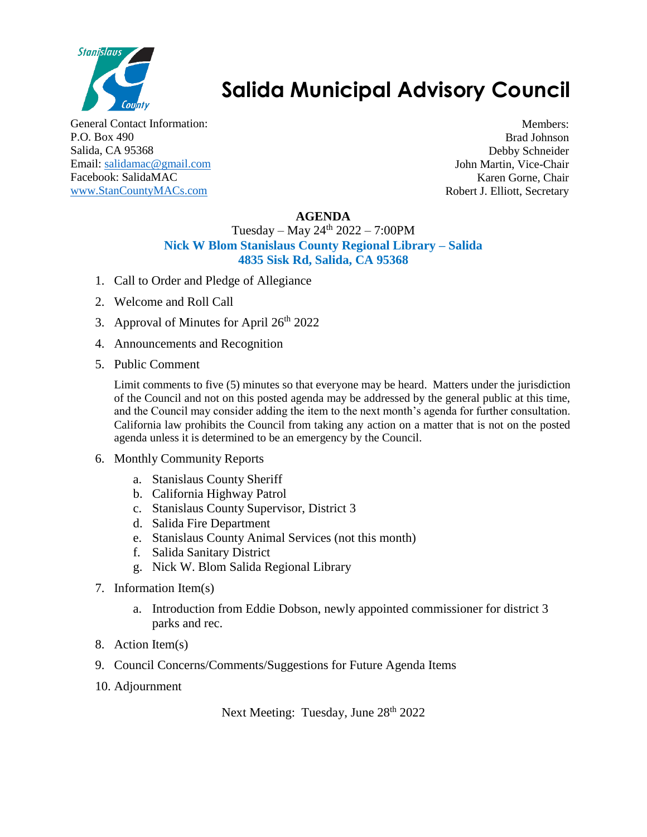

## **Salida Municipal Advisory Council**

General Contact Information: P.O. Box 490 Salida, CA 95368 Email: [salidamac@gmail.com](mailto:salidamac@gmail.com) Facebook: SalidaMAC [www.StanCountyMACs.com](http://www.stancountymacs.com/)

Members: Brad Johnson Debby Schneider John Martin, Vice-Chair Karen Gorne, Chair Robert J. Elliott, Secretary

## **AGENDA**

## Tuesday – May  $24^{th}$  2022 – 7:00PM **Nick W Blom Stanislaus County Regional Library – Salida 4835 Sisk Rd, Salida, CA 95368**

- 1. Call to Order and Pledge of Allegiance
- 2. Welcome and Roll Call
- 3. Approval of Minutes for April  $26<sup>th</sup> 2022$
- 4. Announcements and Recognition
- 5. Public Comment

Limit comments to five (5) minutes so that everyone may be heard. Matters under the jurisdiction of the Council and not on this posted agenda may be addressed by the general public at this time, and the Council may consider adding the item to the next month's agenda for further consultation. California law prohibits the Council from taking any action on a matter that is not on the posted agenda unless it is determined to be an emergency by the Council.

- 6. Monthly Community Reports
	- a. Stanislaus County Sheriff
	- b. California Highway Patrol
	- c. Stanislaus County Supervisor, District 3
	- d. Salida Fire Department
	- e. Stanislaus County Animal Services (not this month)
	- f. Salida Sanitary District
	- g. Nick W. Blom Salida Regional Library
- 7. Information Item(s)
	- a. Introduction from Eddie Dobson, newly appointed commissioner for district 3 parks and rec.
- 8. Action Item(s)
- 9. Council Concerns/Comments/Suggestions for Future Agenda Items
- 10. Adjournment

Next Meeting: Tuesday, June 28<sup>th</sup> 2022